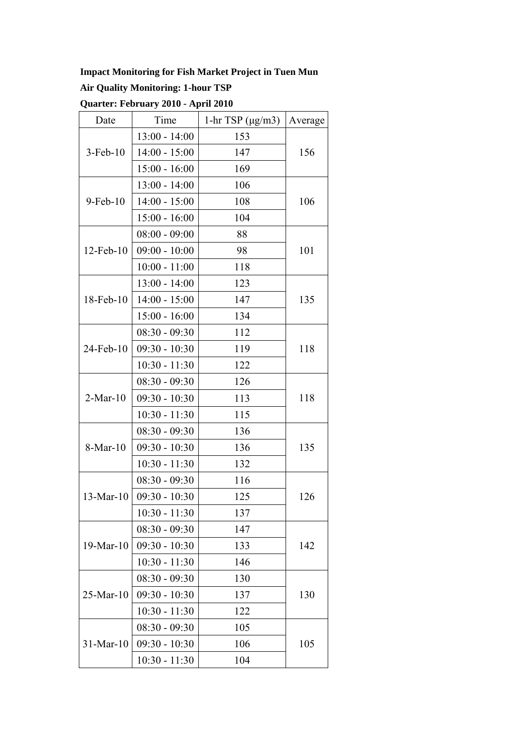#### **Impact Monitoring for Fish Market Project in Tuen Mun**

## **Air Quality Monitoring: 1-hour TSP**

| Quarter: February 2010 - April 2010 |  |  |
|-------------------------------------|--|--|
|-------------------------------------|--|--|

| Date           | Time            | 1-hr TSP $(\mu g/m3)$ | Average |  |
|----------------|-----------------|-----------------------|---------|--|
| $3$ -Feb- $10$ | $13:00 - 14:00$ | 153                   |         |  |
|                | $14:00 - 15:00$ | 147                   | 156     |  |
|                | $15:00 - 16:00$ | 169                   |         |  |
|                | $13:00 - 14:00$ | 106                   |         |  |
| $9$ -Feb- $10$ | $14:00 - 15:00$ | 108                   | 106     |  |
|                | $15:00 - 16:00$ | 104                   |         |  |
|                | $08:00 - 09:00$ | 88                    |         |  |
| 12-Feb-10      | $09:00 - 10:00$ | 98                    | 101     |  |
|                | $10:00 - 11:00$ | 118                   |         |  |
|                | $13:00 - 14:00$ | 123                   | 135     |  |
| 18-Feb-10      | $14:00 - 15:00$ | 147                   |         |  |
|                | $15:00 - 16:00$ | 134                   |         |  |
|                | $08:30 - 09:30$ | 112                   |         |  |
| 24-Feb-10      | $09:30 - 10:30$ | 119                   | 118     |  |
|                | $10:30 - 11:30$ | 122                   |         |  |
| $2-Mar-10$     | $08:30 - 09:30$ | 126                   |         |  |
|                | $09:30 - 10:30$ | 113                   | 118     |  |
|                | $10:30 - 11:30$ | 115                   |         |  |
| 8-Mar-10       | $08:30 - 09:30$ | 136                   | 135     |  |
|                | $09:30 - 10:30$ | 136                   |         |  |
|                | $10:30 - 11:30$ | 132                   |         |  |
| $13-Mar-10$    | $08:30 - 09:30$ | 116                   |         |  |
|                | $09:30 - 10:30$ | 125                   | 126     |  |
|                | $10:30 - 11:30$ | 137                   |         |  |
|                | $08:30 - 09:30$ | 147                   |         |  |
| 19-Mar-10      | $09:30 - 10:30$ | 133                   | 142     |  |
|                | $10:30 - 11:30$ | 146                   |         |  |
| $25-Mar-10$    | $08:30 - 09:30$ | 130                   |         |  |
|                | $09:30 - 10:30$ | 137                   | 130     |  |
|                | $10:30 - 11:30$ | 122                   |         |  |
| $31-Mar-10$    | $08:30 - 09:30$ | 105                   |         |  |
|                | $09:30 - 10:30$ | 106                   | 105     |  |
|                | $10:30 - 11:30$ | 104                   |         |  |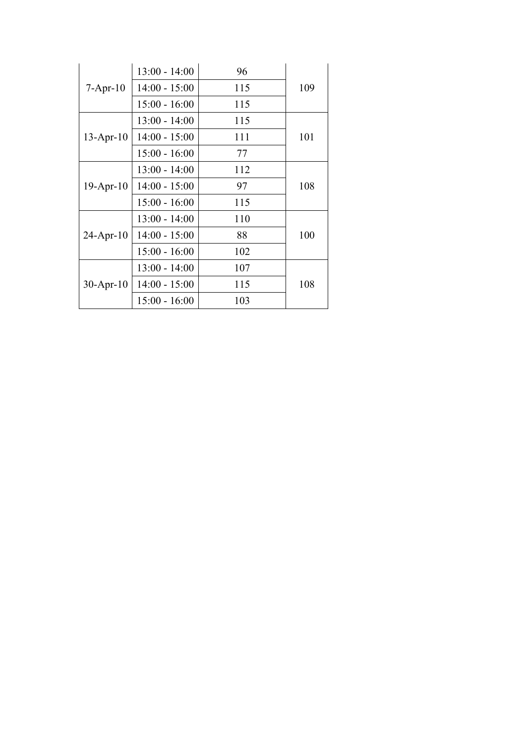| $7 - Apr-10$    | $13:00 - 14:00$ | 96  |     |
|-----------------|-----------------|-----|-----|
|                 | $14:00 - 15:00$ | 115 | 109 |
|                 | $15:00 - 16:00$ | 115 |     |
| $13$ -Apr-10    | $13:00 - 14:00$ | 115 |     |
|                 | $14:00 - 15:00$ | 111 | 101 |
|                 | $15:00 - 16:00$ | 77  |     |
| $19$ -Apr- $10$ | $13:00 - 14:00$ | 112 |     |
|                 | $14:00 - 15:00$ | 97  | 108 |
|                 | $15:00 - 16:00$ | 115 |     |
| $24$ -Apr-10    | $13:00 - 14:00$ | 110 |     |
|                 | $14:00 - 15:00$ | 88  | 100 |
|                 | $15:00 - 16:00$ | 102 |     |
| $30$ -Apr-10    | $13:00 - 14:00$ | 107 |     |
|                 | $14:00 - 15:00$ | 115 | 108 |
|                 | $15:00 - 16:00$ | 103 |     |